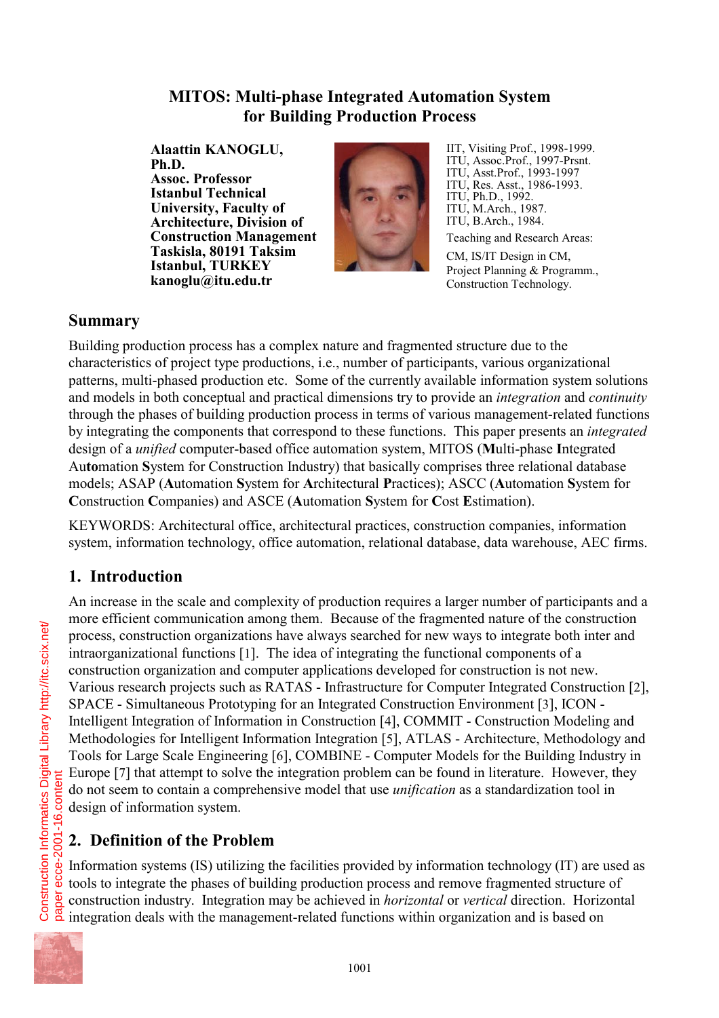### **MITOS: Multi-phase Integrated Automation System for Building Production Process**

**Alaattin KANOGLU, Ph.D. Assoc. Professor Istanbul Technical University, Faculty of Architecture, Division of Construction Management Taskisla, 80191 Taksim Istanbul, TURKEY kanoglu@itu.edu.tr**



IIT, Visiting Prof., 1998-1999. ITU, Assoc.Prof., 1997-Prsnt. ITU, Asst.Prof., 1993-1997 ITU, Res. Asst., 1986-1993. ITU, Ph.D., 1992. ITU, M.Arch., 1987. ITU, B.Arch., 1984.

Teaching and Research Areas:

CM, IS/IT Design in CM, Project Planning & Programm., Construction Technology.

### **Summary**

Building production process has a complex nature and fragmented structure due to the characteristics of project type productions, i.e., number of participants, various organizational patterns, multi-phased production etc. Some of the currently available information system solutions and models in both conceptual and practical dimensions try to provide an *integration* and *continuity* through the phases of building production process in terms of various management-related functions by integrating the components that correspond to these functions. This paper presents an *integrated* design of a *unified* computer-based office automation system, MITOS (**M**ulti-phase **I**ntegrated Au**to**mation **S**ystem for Construction Industry) that basically comprises three relational database models; ASAP (**A**utomation **S**ystem for **A**rchitectural **P**ractices); ASCC (**A**utomation **S**ystem for **C**onstruction **C**ompanies) and ASCE (**A**utomation **S**ystem for **C**ost **E**stimation).

KEYWORDS: Architectural office, architectural practices, construction companies, information system, information technology, office automation, relational database, data warehouse, AEC firms.

## **1. Introduction**

An increase in the scale and complexity of production requires a larger number of participants and a more efficient communication among them. Because of the fragmented nature of the construction process, construction organizations have always searched for new ways to integrate both inter and intraorganizational functions [1]. The idea of integrating the functional components of a construction organization and computer applications developed for construction is not new. Various research projects such as RATAS - Infrastructure for Computer Integrated Construction [2], SPACE - Simultaneous Prototyping for an Integrated Construction Environment [3], ICON - Intelligent Integration of Information in Construction [4], COMMIT - Construction Modeling and Methodologies for Intelligent Information Integration [5], ATLAS - Architecture, Methodology and Tools for Large Scale Engineering [6], COMBINE - Computer Models for the Building Industry in Europe [7] that attempt to solve the integration problem can be found in literature. However, they do not seem to contain a comprehensive model that use *unification* as a standardization tool in design of information system.

# **2. Definition of the Problem**

Information systems (IS) utilizing the facilities provided by information technology (IT) are used as tools to integrate the phases of building production process and remove fragmented structure of construction industry. Integration may be achieved in *horizontal* or *vertical* direction. Horizontal integration deals with the management-related functions within organization and is based on



paper ecce-2001-16.content

Construction Informatics Digital Library http://itc.scix.net/

Construction Informatics Digital Library http://itc.scix.net/<br>paper ecce-2001-16.content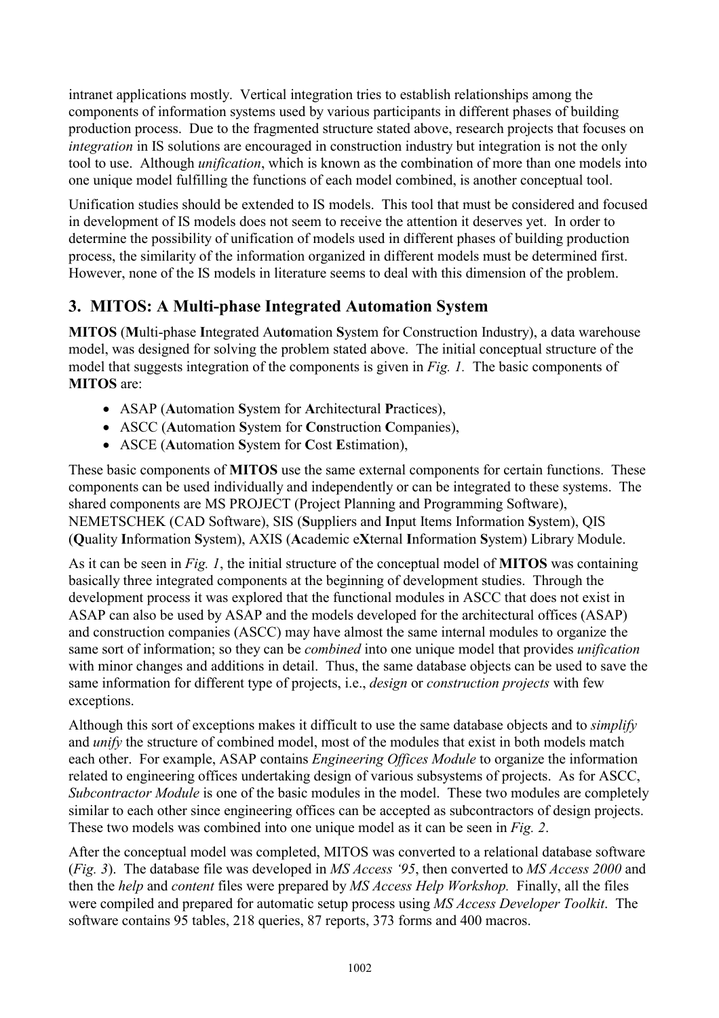intranet applications mostly. Vertical integration tries to establish relationships among the components of information systems used by various participants in different phases of building production process. Due to the fragmented structure stated above, research projects that focuses on *integration* in IS solutions are encouraged in construction industry but integration is not the only tool to use. Although *unification*, which is known as the combination of more than one models into one unique model fulfilling the functions of each model combined, is another conceptual tool.

Unification studies should be extended to IS models. This tool that must be considered and focused in development of IS models does not seem to receive the attention it deserves yet. In order to determine the possibility of unification of models used in different phases of building production process, the similarity of the information organized in different models must be determined first. However, none of the IS models in literature seems to deal with this dimension of the problem.

## **3. MITOS: A Multi-phase Integrated Automation System**

**MITOS** (**M**ulti-phase **I**ntegrated Au**to**mation **S**ystem for Construction Industry), a data warehouse model, was designed for solving the problem stated above. The initial conceptual structure of the model that suggests integration of the components is given in *Fig. 1.* The basic components of **MITOS** are:

- ASAP (**A**utomation **S**ystem for **A**rchitectural **P**ractices),
- ASCC (**A**utomation **S**ystem for **Co**nstruction **C**ompanies),
- ASCE (**A**utomation **S**ystem for **C**ost **E**stimation),

These basic components of **MITOS** use the same external components for certain functions. These components can be used individually and independently or can be integrated to these systems. The shared components are MS PROJECT (Project Planning and Programming Software), NEMETSCHEK (CAD Software), SIS (**S**uppliers and **I**nput Items Information **S**ystem), QIS (**Q**uality **I**nformation **S**ystem), AXIS (**A**cademic e**X**ternal **I**nformation **S**ystem) Library Module.

As it can be seen in *Fig. 1*, the initial structure of the conceptual model of **MITOS** was containing basically three integrated components at the beginning of development studies. Through the development process it was explored that the functional modules in ASCC that does not exist in ASAP can also be used by ASAP and the models developed for the architectural offices (ASAP) and construction companies (ASCC) may have almost the same internal modules to organize the same sort of information; so they can be *combined* into one unique model that provides *unification* with minor changes and additions in detail. Thus, the same database objects can be used to save the same information for different type of projects, i.e., *design* or *construction projects* with few exceptions.

Although this sort of exceptions makes it difficult to use the same database objects and to *simplify* and *unify* the structure of combined model, most of the modules that exist in both models match each other. For example, ASAP contains *Engineering Offices Module* to organize the information related to engineering offices undertaking design of various subsystems of projects. As for ASCC, *Subcontractor Module* is one of the basic modules in the model. These two modules are completely similar to each other since engineering offices can be accepted as subcontractors of design projects. These two models was combined into one unique model as it can be seen in *Fig. 2*.

After the conceptual model was completed, MITOS was converted to a relational database software (*Fig. 3*). The database file was developed in *MS Access '95*, then converted to *MS Access 2000* and then the *help* and *content* files were prepared by *MS Access Help Workshop.* Finally, all the files were compiled and prepared for automatic setup process using *MS Access Developer Toolkit*. The software contains 95 tables, 218 queries, 87 reports, 373 forms and 400 macros.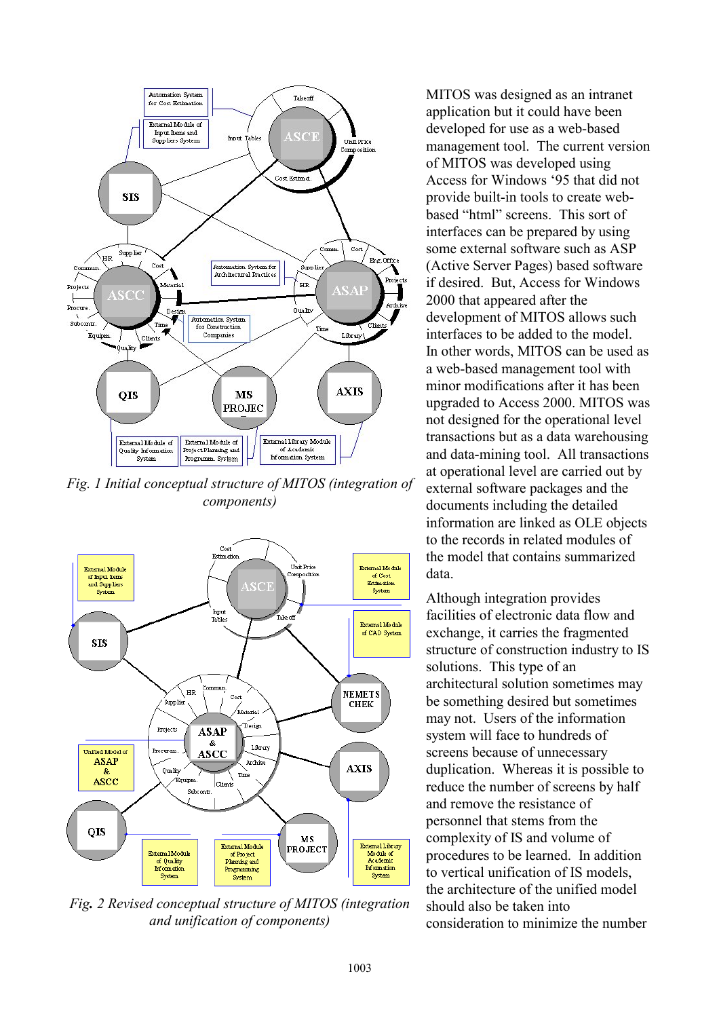

*Fig. 1 Initial conceptual structure of MITOS (integration of components)*



*Fig. 2 Revised conceptual structure of MITOS (integration and unification of components)*

MITOS was designed as an intranet application but it could have been developed for use as a web-based management tool. The current version of MITOS was developed using Access for Windows '95 that did not provide built-in tools to create webbased "html" screens. This sort of interfaces can be prepared by using some external software such as ASP (Active Server Pages) based software if desired. But, Access for Windows 2000 that appeared after the development of MITOS allows such interfaces to be added to the model. In other words, MITOS can be used as a web-based management tool with minor modifications after it has been upgraded to Access 2000. MITOS was not designed for the operational level transactions but as a data warehousing and data-mining tool. All transactions at operational level are carried out by external software packages and the documents including the detailed information are linked as OLE objects to the records in related modules of the model that contains summarized data.

Although integration provides facilities of electronic data flow and exchange, it carries the fragmented structure of construction industry to IS solutions. This type of an architectural solution sometimes may be something desired but sometimes may not. Users of the information system will face to hundreds of screens because of unnecessary duplication. Whereas it is possible to reduce the number of screens by half and remove the resistance of personnel that stems from the complexity of IS and volume of procedures to be learned. In addition to vertical unification of IS models the architecture of the unified model should also be taken into consideration to minimize the number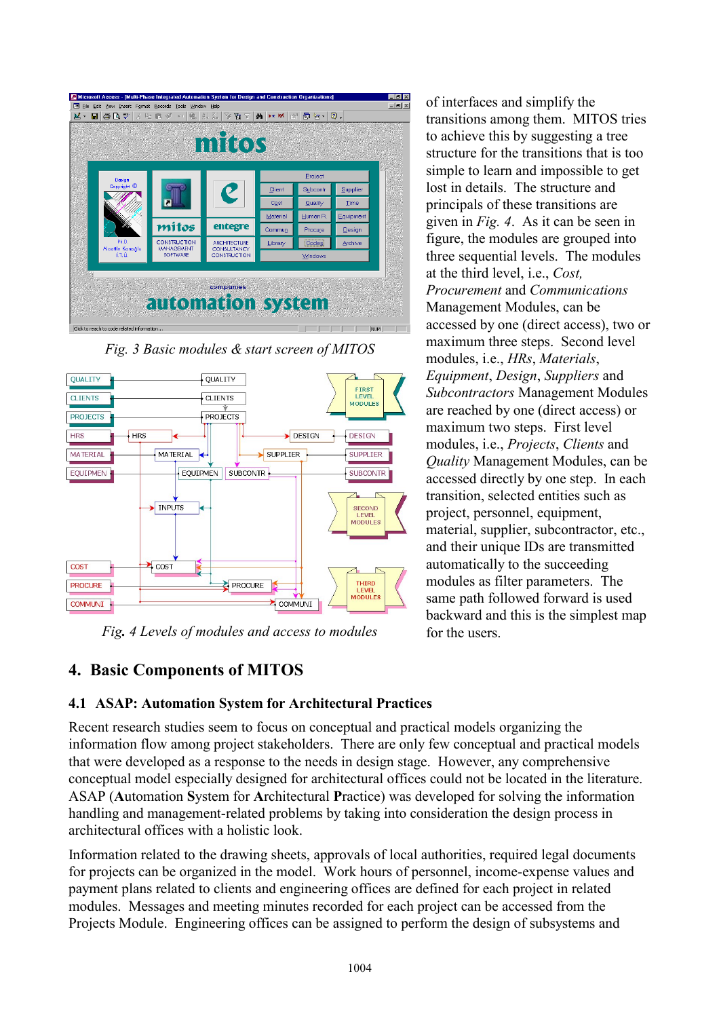|                            |                                      | mitos                                     |                  |                               |                   |  |
|----------------------------|--------------------------------------|-------------------------------------------|------------------|-------------------------------|-------------------|--|
| Design<br>Copyright ©      |                                      |                                           | Project          |                               |                   |  |
|                            | п                                    | C                                         | Client           | Subcontr                      | Supplier          |  |
|                            |                                      |                                           | Cost<br>Material | Quality<br>Human <sub>R</sub> | Time<br>Equipment |  |
|                            | mitos                                | entegre                                   | Commun           | Procure                       | Design            |  |
| Ph.D.                      | <b>CONSTRUCTION</b>                  | <b>ARCHITECTURE</b>                       | Library          | Codes                         | Archive           |  |
| Alaattin Kanağlu<br>í.T.Ü. | <b>MANAGEMENT</b><br><b>SOFTWARE</b> | <b>CONSULTANCY</b><br><b>CONSTRUCTION</b> | Windows          |                               |                   |  |

*Fig. 3 Basic modules & start screen of MITOS*



*Fig. 4 Levels of modules and access to modules*

of interfaces and simplify the transitions among them. MITOS tries to achieve this by suggesting a tree structure for the transitions that is too simple to learn and impossible to get lost in details. The structure and principals of these transitions are given in *Fig. 4*. As it can be seen in figure, the modules are grouped into three sequential levels. The modules at the third level, i.e., *Cost, Procurement* and *Communications* Management Modules, can be accessed by one (direct access), two or maximum three steps. Second level modules, i.e., *HRs*, *Materials*, *Equipment*, *Design*, *Suppliers* and *Subcontractors* Management Modules are reached by one (direct access) or maximum two steps. First level modules, i.e., *Projects*, *Clients* and *Quality* Management Modules, can be accessed directly by one step. In each transition, selected entities such as project, personnel, equipment, material, supplier, subcontractor, etc., and their unique IDs are transmitted automatically to the succeeding modules as filter parameters. The same path followed forward is used backward and this is the simplest map for the users.

## **4. Basic Components of MITOS**

#### **4.1 ASAP: Automation System for Architectural Practices**

Recent research studies seem to focus on conceptual and practical models organizing the information flow among project stakeholders. There are only few conceptual and practical models that were developed as a response to the needs in design stage. However, any comprehensive conceptual model especially designed for architectural offices could not be located in the literature. ASAP (**A**utomation **S**ystem for **A**rchitectural **P**ractice) was developed for solving the information handling and management-related problems by taking into consideration the design process in architectural offices with a holistic look.

Information related to the drawing sheets, approvals of local authorities, required legal documents for projects can be organized in the model. Work hours of personnel, income-expense values and payment plans related to clients and engineering offices are defined for each project in related modules. Messages and meeting minutes recorded for each project can be accessed from the Projects Module. Engineering offices can be assigned to perform the design of subsystems and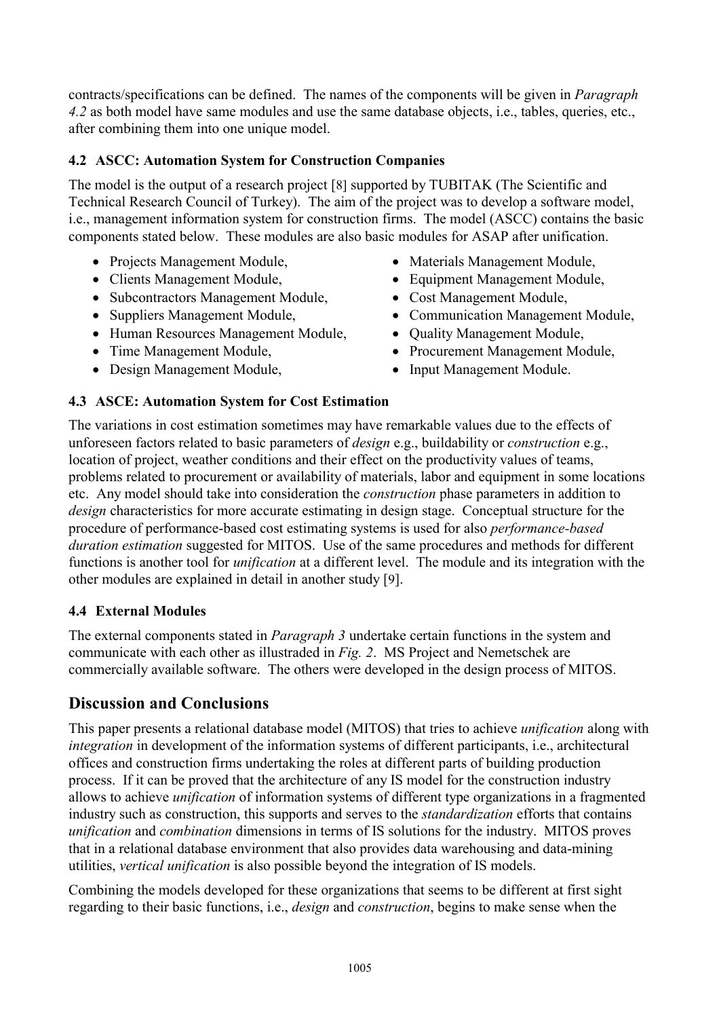contracts/specifications can be defined. The names of the components will be given in *Paragraph 4.2* as both model have same modules and use the same database objects, i.e., tables, queries, etc., after combining them into one unique model.

#### **4.2 ASCC: Automation System for Construction Companies**

The model is the output of a research project [8] supported by TUBITAK (The Scientific and Technical Research Council of Turkey). The aim of the project was to develop a software model, i.e., management information system for construction firms. The model (ASCC) contains the basic components stated below. These modules are also basic modules for ASAP after unification.

- Projects Management Module,
- Clients Management Module,
- Subcontractors Management Module,
- Suppliers Management Module,
- Human Resources Management Module,
- Time Management Module,
- Design Management Module,
- Materials Management Module,
- Equipment Management Module,
- Cost Management Module,
- Communication Management Module,
- Quality Management Module,
- Procurement Management Module,
- Input Management Module.

#### **4.3 ASCE: Automation System for Cost Estimation**

The variations in cost estimation sometimes may have remarkable values due to the effects of unforeseen factors related to basic parameters of *design* e.g., buildability or *construction* e.g., location of project, weather conditions and their effect on the productivity values of teams, problems related to procurement or availability of materials, labor and equipment in some locations etc. Any model should take into consideration the *construction* phase parameters in addition to *design* characteristics for more accurate estimating in design stage. Conceptual structure for the procedure of performance-based cost estimating systems is used for also *performance-based duration estimation* suggested for MITOS. Use of the same procedures and methods for different functions is another tool for *unification* at a different level. The module and its integration with the other modules are explained in detail in another study [9].

#### **4.4 External Modules**

The external components stated in *Paragraph 3* undertake certain functions in the system and communicate with each other as illustraded in *Fig. 2*. MS Project and Nemetschek are commercially available software. The others were developed in the design process of MITOS.

### **Discussion and Conclusions**

This paper presents a relational database model (MITOS) that tries to achieve *unification* along with *integration* in development of the information systems of different participants, i.e., architectural offices and construction firms undertaking the roles at different parts of building production process. If it can be proved that the architecture of any IS model for the construction industry allows to achieve *unification* of information systems of different type organizations in a fragmented industry such as construction, this supports and serves to the *standardization* efforts that contains *unification* and *combination* dimensions in terms of IS solutions for the industry. MITOS proves that in a relational database environment that also provides data warehousing and data-mining utilities, *vertical unification* is also possible beyond the integration of IS models.

Combining the models developed for these organizations that seems to be different at first sight regarding to their basic functions, i.e., *design* and *construction*, begins to make sense when the